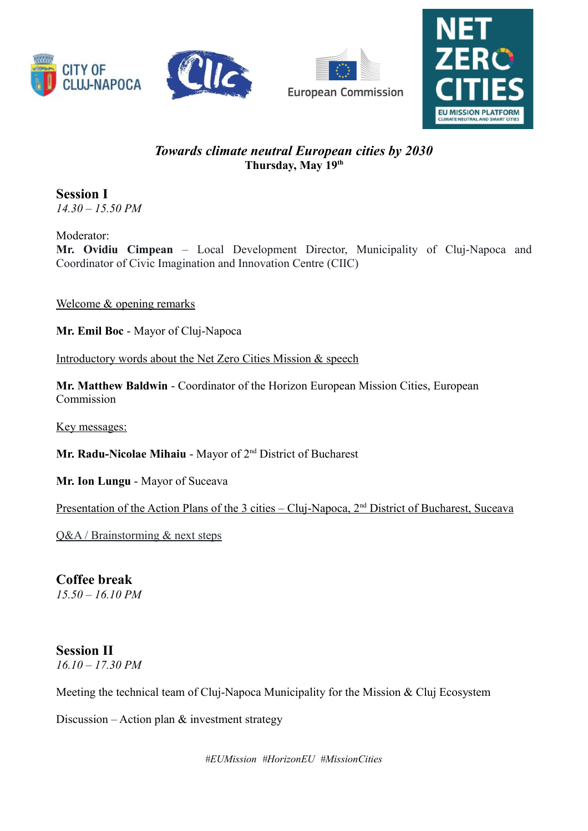





## *Towards climate neutral European cities by 2030* **Thursday, May 19th**

**Session I** *14.30 – 15.50 PM*

Moderator: **Mr. Ovidiu Cimpean** – Local Development Director, Municipality of Cluj-Napoca and Coordinator of Civic Imagination and Innovation Centre (CIIC)

Welcome & opening remarks

**Mr. Emil Boc** - Mayor of Cluj-Napoca

Introductory words about the Net Zero Cities Mission & speech

**Mr. Matthew Baldwin** - Coordinator of the Horizon European Mission Cities, European Commission

Key messages:

**Mr. Radu-Nicolae Mihaiu** - Mayor of 2nd District of Bucharest

**Mr. Ion Lungu** - Mayor of Suceava

Presentation of the Action Plans of the 3 cities – Cluj-Napoca, 2<sup>nd</sup> District of Bucharest, Suceava

Q&A / Brainstorming & next steps

## **Coffee break**

*15.50 – 16.10 PM*

## **Session II**

*16.10 – 17.30 PM*

Meeting the technical team of Cluj-Napoca Municipality for the Mission & Cluj Ecosystem

Discussion – Action plan & investment strategy

*#EUMission #HorizonEU #MissionCities*